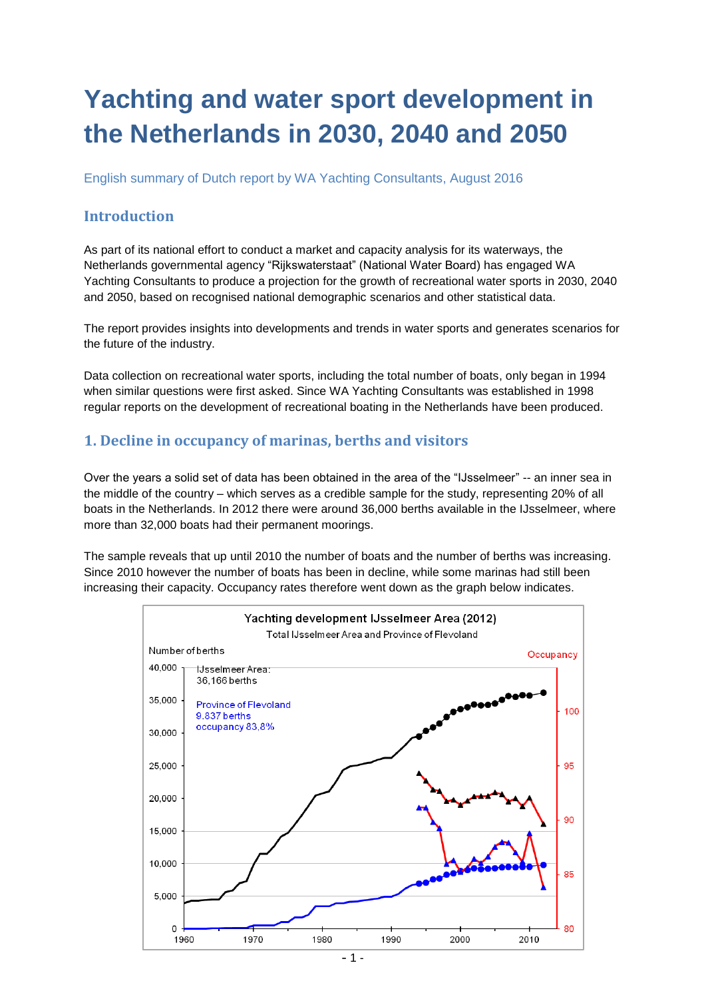# **Yachting and water sport development in the Netherlands in 2030, 2040 and 2050**

English summary of Dutch report by WA Yachting Consultants, August 2016

#### **Introduction**

As part of its national effort to conduct a market and capacity analysis for its waterways, the Netherlands governmental agency "Rijkswaterstaat" (National Water Board) has engaged WA Yachting Consultants to produce a projection for the growth of recreational water sports in 2030, 2040 and 2050, based on recognised national demographic scenarios and other statistical data.

The report provides insights into developments and trends in water sports and generates scenarios for the future of the industry.

Data collection on recreational water sports, including the total number of boats, only began in 1994 when similar questions were first asked. Since WA Yachting Consultants was established in 1998 regular reports on the development of recreational boating in the Netherlands have been produced.

#### **1. Decline in occupancy of marinas, berths and visitors**

Over the years a solid set of data has been obtained in the area of the "IJsselmeer" -- an inner sea in the middle of the country – which serves as a credible sample for the study, representing 20% of all boats in the Netherlands. In 2012 there were around 36,000 berths available in the IJsselmeer, where more than 32,000 boats had their permanent moorings.

The sample reveals that up until 2010 the number of boats and the number of berths was increasing. Since 2010 however the number of boats has been in decline, while some marinas had still been increasing their capacity. Occupancy rates therefore went down as the graph below indicates.

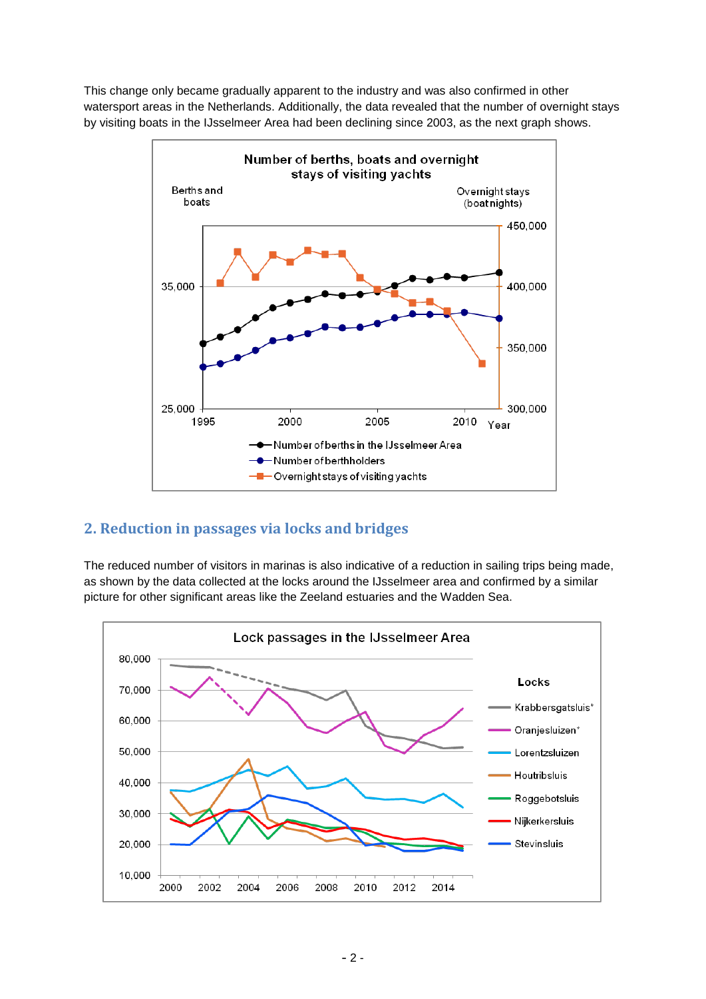This change only became gradually apparent to the industry and was also confirmed in other watersport areas in the Netherlands. Additionally, the data revealed that the number of overnight stays by visiting boats in the IJsselmeer Area had been declining since 2003, as the next graph shows.



## **2. Reduction in passages via locks and bridges**

The reduced number of visitors in marinas is also indicative of a reduction in sailing trips being made, as shown by the data collected at the locks around the IJsselmeer area and confirmed by a similar picture for other significant areas like the Zeeland estuaries and the Wadden Sea.

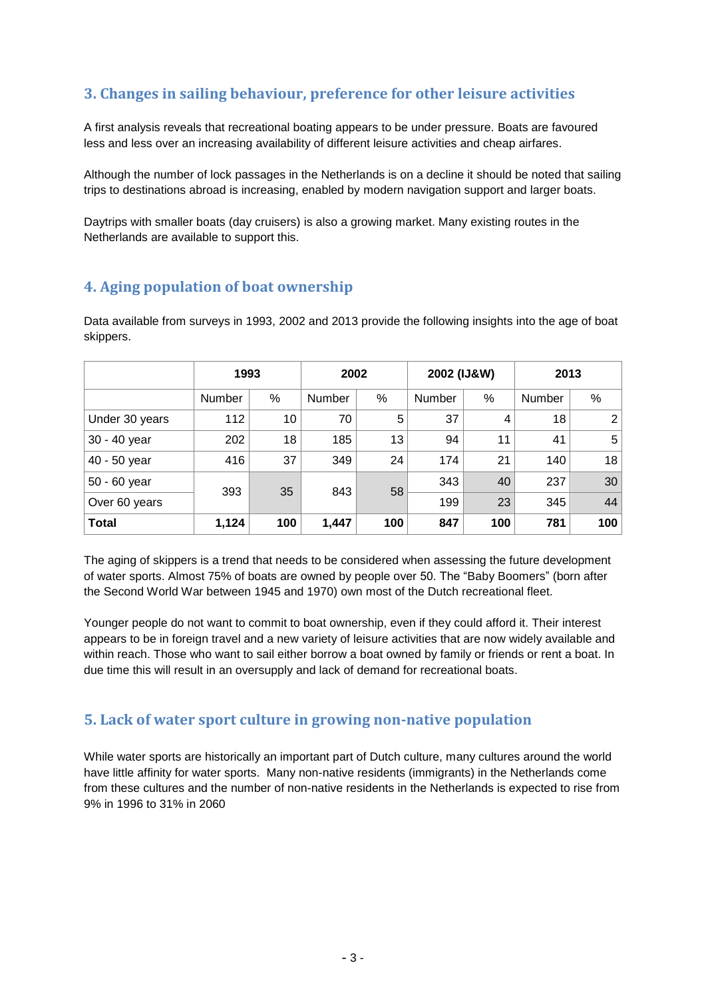## **3. Changes in sailing behaviour, preference for other leisure activities**

A first analysis reveals that recreational boating appears to be under pressure. Boats are favoured less and less over an increasing availability of different leisure activities and cheap airfares.

Although the number of lock passages in the Netherlands is on a decline it should be noted that sailing trips to destinations abroad is increasing, enabled by modern navigation support and larger boats.

Daytrips with smaller boats (day cruisers) is also a growing market. Many existing routes in the Netherlands are available to support this.

### **4. Aging population of boat ownership**

Data available from surveys in 1993, 2002 and 2013 provide the following insights into the age of boat skippers.

|                | 1993          |     | 2002          |     | 2002 (IJ&W) |     | 2013   |     |
|----------------|---------------|-----|---------------|-----|-------------|-----|--------|-----|
|                | <b>Number</b> | %   | <b>Number</b> | %   | Number      | %   | Number | %   |
| Under 30 years | 112           | 10  | 70            | 5   | 37          | 4   | 18     | 2   |
| 30 - 40 year   | 202           | 18  | 185           | 13  | 94          | 11  | 41     | 5   |
| 40 - 50 year   | 416           | 37  | 349           | 24  | 174         | 21  | 140    | 18  |
| 50 - 60 year   |               | 35  | 843           | 58  | 343         | 40  | 237    | 30  |
| Over 60 years  | 393           |     |               |     | 199         | 23  | 345    | 44  |
| <b>Total</b>   | 1,124         | 100 | 1,447         | 100 | 847         | 100 | 781    | 100 |

The aging of skippers is a trend that needs to be considered when assessing the future development of water sports. Almost 75% of boats are owned by people over 50. The "Baby Boomers" (born after the Second World War between 1945 and 1970) own most of the Dutch recreational fleet.

Younger people do not want to commit to boat ownership, even if they could afford it. Their interest appears to be in foreign travel and a new variety of leisure activities that are now widely available and within reach. Those who want to sail either borrow a boat owned by family or friends or rent a boat. In due time this will result in an oversupply and lack of demand for recreational boats.

#### **5. Lack of water sport culture in growing non-native population**

While water sports are historically an important part of Dutch culture, many cultures around the world have little affinity for water sports. Many non-native residents (immigrants) in the Netherlands come from these cultures and the number of non-native residents in the Netherlands is expected to rise from 9% in 1996 to 31% in 2060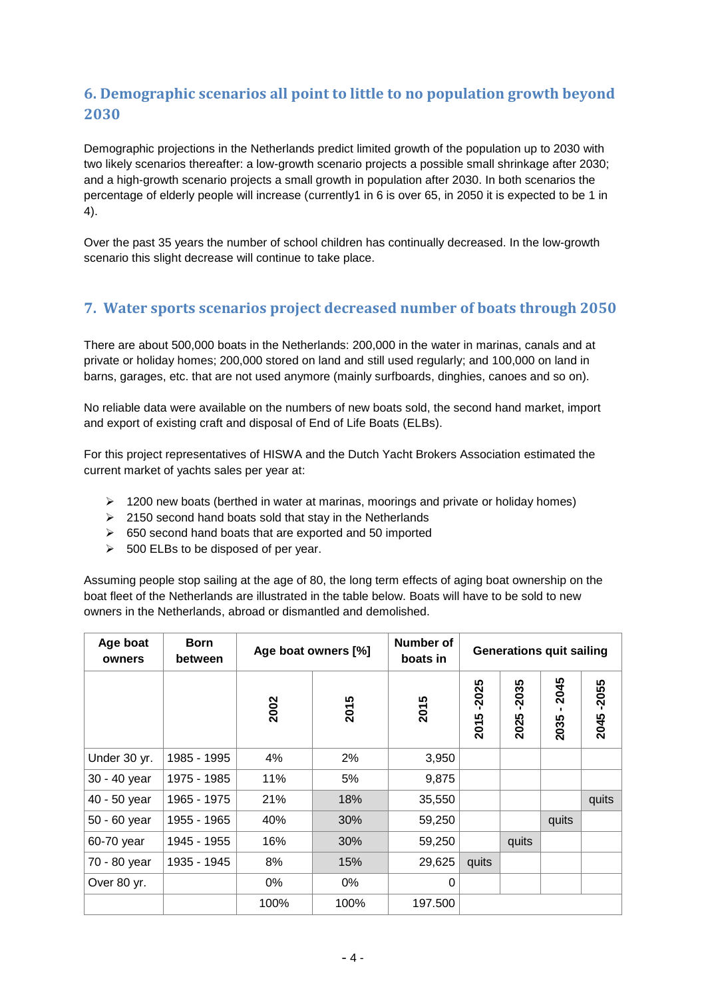# **6. Demographic scenarios all point to little to no population growth beyond 2030**

Demographic projections in the Netherlands predict limited growth of the population up to 2030 with two likely scenarios thereafter: a low-growth scenario projects a possible small shrinkage after 2030; and a high-growth scenario projects a small growth in population after 2030. In both scenarios the percentage of elderly people will increase (currently1 in 6 is over 65, in 2050 it is expected to be 1 in 4).

Over the past 35 years the number of school children has continually decreased. In the low-growth scenario this slight decrease will continue to take place.

## **7. Water sports scenarios project decreased number of boats through 2050**

There are about 500,000 boats in the Netherlands: 200,000 in the water in marinas, canals and at private or holiday homes; 200,000 stored on land and still used regularly; and 100,000 on land in barns, garages, etc. that are not used anymore (mainly surfboards, dinghies, canoes and so on).

No reliable data were available on the numbers of new boats sold, the second hand market, import and export of existing craft and disposal of End of Life Boats (ELBs).

For this project representatives of HISWA and the Dutch Yacht Brokers Association estimated the current market of yachts sales per year at:

- $\triangleright$  1200 new boats (berthed in water at marinas, moorings and private or holiday homes)
- $\geq$  2150 second hand boats sold that stay in the Netherlands
- $\geq$  650 second hand boats that are exported and 50 imported
- $\geq$  500 ELBs to be disposed of per year.

Assuming people stop sailing at the age of 80, the long term effects of aging boat ownership on the boat fleet of the Netherlands are illustrated in the table below. Boats will have to be sold to new owners in the Netherlands, abroad or dismantled and demolished.

| Age boat<br>owners | <b>Born</b><br>between | Age boat owners [%] |      | Number of<br>boats in | <b>Generations quit sailing</b> |                 |              |                 |
|--------------------|------------------------|---------------------|------|-----------------------|---------------------------------|-----------------|--------------|-----------------|
|                    |                        | 2002                | 2015 | 2015                  | $-2025$<br>2015                 | $-2035$<br>2025 | 2045<br>2035 | $-2055$<br>2045 |
| Under 30 yr.       | 1985 - 1995            | 4%                  | 2%   | 3,950                 |                                 |                 |              |                 |
| 30 - 40 year       | 1975 - 1985            | 11%                 | 5%   | 9,875                 |                                 |                 |              |                 |
| 40 - 50 year       | 1965 - 1975            | 21%                 | 18%  | 35,550                |                                 |                 |              | quits           |
| 50 - 60 year       | 1955 - 1965            | 40%                 | 30%  | 59,250                |                                 |                 | quits        |                 |
| 60-70 year         | 1945 - 1955            | 16%                 | 30%  | 59,250                |                                 | quits           |              |                 |
| 70 - 80 year       | 1935 - 1945            | 8%                  | 15%  | 29,625                | quits                           |                 |              |                 |
| Over 80 yr.        |                        | 0%                  | 0%   | 0                     |                                 |                 |              |                 |
|                    |                        | 100%<br>100%        |      | 197.500               |                                 |                 |              |                 |